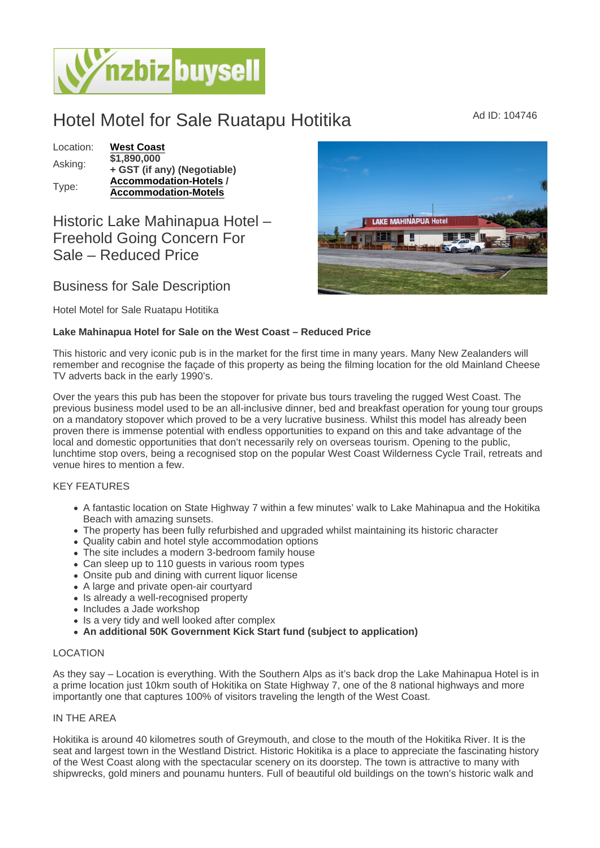# Hotel Motel for Sale Ruatapu Hotitika Mad ID: 104746

### Location: [West Coast](https://www.nzbizbuysell.co.nz/businesses-for-sale/location/West-Coast) Asking: \$1,890,000 + GST (if any) (Negotiable) Type: [Accommodation-Hotels](https://www.nzbizbuysell.co.nz/businesses-for-sale/Hotels/New-Zealand) / Accommodation-Motels

## Historic Lake Mahinapua Hotel – Freehold Going Concern For Sale – Reduced Price

## Business for Sale Description

Hotel Motel for Sale Ruatapu Hotitika

Lake Mahinapua Hotel for Sale on the West Coast – Reduced Price

This historic and very iconic pub is in the market for the first time in many years. Many New Zealanders will remember and recognise the façade of this property as being the filming location for the old Mainland Cheese TV adverts back in the early 1990's.

Over the years this pub has been the stopover for private bus tours traveling the rugged West Coast. The previous business model used to be an all-inclusive dinner, bed and breakfast operation for young tour groups on a mandatory stopover which proved to be a very lucrative business. Whilst this model has already been proven there is immense potential with endless opportunities to expand on this and take advantage of the local and domestic opportunities that don't necessarily rely on overseas tourism. Opening to the public, lunchtime stop overs, being a recognised stop on the popular West Coast Wilderness Cycle Trail, retreats and venue hires to mention a few.

## KEY FEATURES

- A fantastic location on State Highway 7 within a few minutes' walk to Lake Mahinapua and the Hokitika Beach with amazing sunsets.
- The property has been fully refurbished and upgraded whilst maintaining its historic character
- Quality cabin and hotel style accommodation options
- The site includes a modern 3-bedroom family house
- Can sleep up to 110 guests in various room types
- Onsite pub and dining with current liquor license
- A large and private open-air courtyard
- Is already a well-recognised property
- Includes a Jade workshop
- Is a very tidy and well looked after complex
- An additional 50K Government Kick Start fund (subject to application)

## LOCATION

As they say – Location is everything. With the Southern Alps as it's back drop the Lake Mahinapua Hotel is in a prime location just 10km south of Hokitika on State Highway 7, one of the 8 national highways and more importantly one that captures 100% of visitors traveling the length of the West Coast.

#### IN THE AREA

Hokitika is around 40 kilometres south of Greymouth, and close to the mouth of the Hokitika River. It is the seat and largest town in the Westland District. Historic Hokitika is a place to appreciate the fascinating history of the West Coast along with the spectacular scenery on its doorstep. The town is attractive to many with shipwrecks, gold miners and pounamu hunters. Full of beautiful old buildings on the town's historic walk and